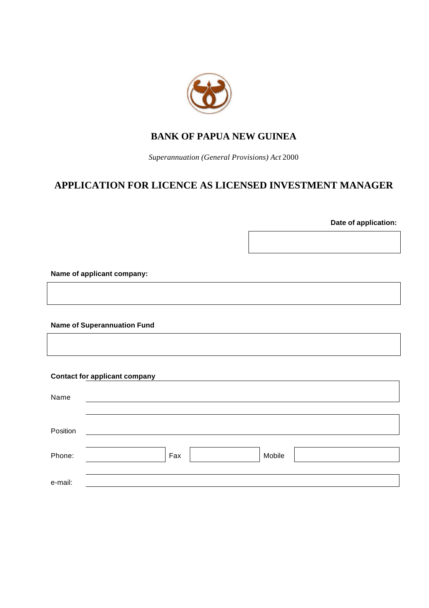

# **BANK OF PAPUA NEW GUINEA**

*Superannuation (General Provisions) Act* 2000

# **APPLICATION FOR LICENCE AS LICENSED INVESTMENT MANAGER**

**Date of application:**

**Name of applicant company:**

**Name of Superannuation Fund**

## **Contact for applicant company**

| Name     |               |
|----------|---------------|
| Position |               |
| Phone:   | Mobile<br>Fax |
| e-mail:  |               |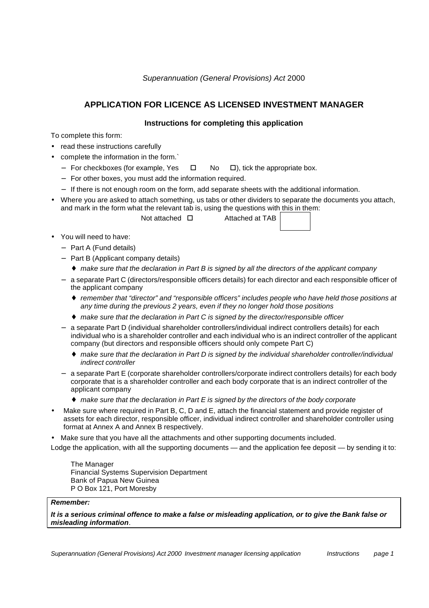## **APPLICATION FOR LICENCE AS LICENSED INVESTMENT MANAGER**

### **Instructions for completing this application**

To complete this form:

- read these instructions carefully
- complete the information in the form.`
	- − For checkboxes (for example, Yes  $\Box$  No  $\Box$ ), tick the appropriate box.
	- − For other boxes, you must add the information required.
	- − If there is not enough room on the form, add separate sheets with the additional information.
- Where you are asked to attach something, us tabs or other dividers to separate the documents you attach, and mark in the form what the relevant tab is, using the questions with this in them:

Not attached  $\square$  Attached at TAB

- You will need to have:
	- − Part A (Fund details)
	- − Part B (Applicant company details)
		- ♦ *make sure that the declaration in Part B is signed by all the directors of the applicant company*
	- − a separate Part C (directors/responsible officers details) for each director and each responsible officer of the applicant company
		- ♦ *remember that "director" and "responsible officers" includes people who have held those positions at any time during the previous 2 years, even if they no longer hold those positions*
		- ♦ *make sure that the declaration in Part C is signed by the director/responsible officer*
	- − a separate Part D (individual shareholder controllers/individual indirect controllers details) for each individual who is a shareholder controller and each individual who is an indirect controller of the applicant company (but directors and responsible officers should only compete Part C)
		- ♦ *make sure that the declaration in Part D is signed by the individual shareholder controller/individual indirect controller*
	- − a separate Part E (corporate shareholder controllers/corporate indirect controllers details) for each body corporate that is a shareholder controller and each body corporate that is an indirect controller of the applicant company
		- ♦ *make sure that the declaration in Part E is signed by the directors of the body corporate*
- Make sure where required in Part B, C, D and E, attach the financial statement and provide register of assets for each director, responsible officer, individual indirect controller and shareholder controller using format at Annex A and Annex B respectively.
- Make sure that you have all the attachments and other supporting documents included.

Lodge the application, with all the supporting documents — and the application fee deposit — by sending it to:

The Manager Financial Systems Supervision Department Bank of Papua New Guinea P O Box 121, Port Moresby

### *Remember:*

*It is a serious criminal offence to make a false or misleading application, or to give the Bank false or misleading information*.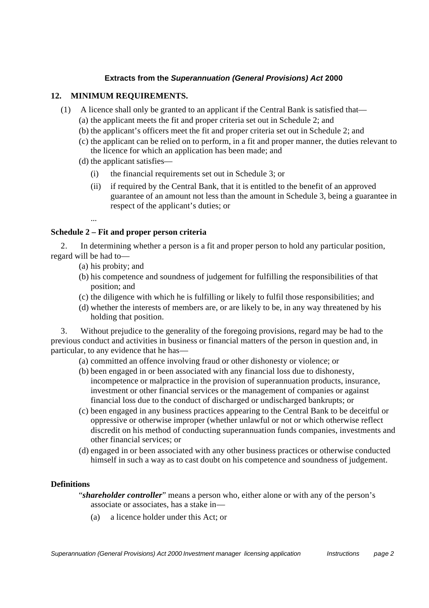### **Extracts from the** *Superannuation (General Provisions) Act* **2000**

### **12. MINIMUM REQUIREMENTS.**

- (1) A licence shall only be granted to an applicant if the Central Bank is satisfied that—
	- (a) the applicant meets the fit and proper criteria set out in Schedule 2; and
	- (b) the applicant's officers meet the fit and proper criteria set out in Schedule 2; and
	- (c) the applicant can be relied on to perform, in a fit and proper manner, the duties relevant to the licence for which an application has been made; and
	- (d) the applicant satisfies—
		- (i) the financial requirements set out in Schedule 3; or
		- (ii) if required by the Central Bank, that it is entitled to the benefit of an approved guarantee of an amount not less than the amount in Schedule 3, being a guarantee in respect of the applicant's duties; or
		- ...

## **Schedule 2 – Fit and proper person criteria**

2. In determining whether a person is a fit and proper person to hold any particular position, regard will be had to—

- (a) his probity; and
- (b) his competence and soundness of judgement for fulfilling the responsibilities of that position; and
- (c) the diligence with which he is fulfilling or likely to fulfil those responsibilities; and
- (d) whether the interests of members are, or are likely to be, in any way threatened by his holding that position.

3. Without prejudice to the generality of the foregoing provisions, regard may be had to the previous conduct and activities in business or financial matters of the person in question and, in particular, to any evidence that he has—

- (a) committed an offence involving fraud or other dishonesty or violence; or
- (b) been engaged in or been associated with any financial loss due to dishonesty, incompetence or malpractice in the provision of superannuation products, insurance, investment or other financial services or the management of companies or against financial loss due to the conduct of discharged or undischarged bankrupts; or
- (c) been engaged in any business practices appearing to the Central Bank to be deceitful or oppressive or otherwise improper (whether unlawful or not or which otherwise reflect discredit on his method of conducting superannuation funds companies, investments and other financial services; or
- (d) engaged in or been associated with any other business practices or otherwise conducted himself in such a way as to cast doubt on his competence and soundness of judgement.

### **Definitions**

"*shareholder controller*" means a person who, either alone or with any of the person's associate or associates, has a stake in—

(a) a licence holder under this Act; or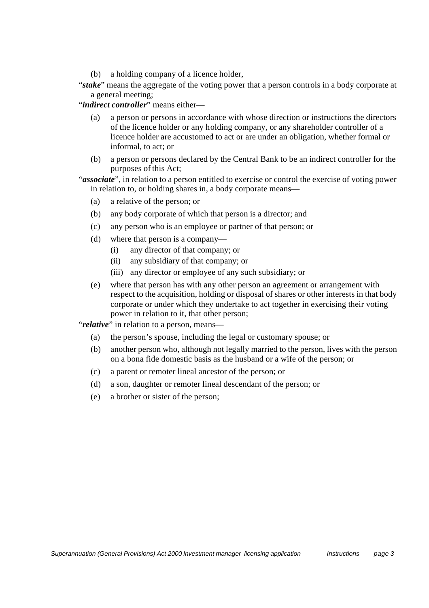- (b) a holding company of a licence holder,
- "*stake*" means the aggregate of the voting power that a person controls in a body corporate at a general meeting;

"*indirect controller*" means either—

- (a) a person or persons in accordance with whose direction or instructions the directors of the licence holder or any holding company, or any shareholder controller of a licence holder are accustomed to act or are under an obligation, whether formal or informal, to act; or
- (b) a person or persons declared by the Central Bank to be an indirect controller for the purposes of this Act;

"*associate*", in relation to a person entitled to exercise or control the exercise of voting power in relation to, or holding shares in, a body corporate means—

- (a) a relative of the person; or
- (b) any body corporate of which that person is a director; and
- (c) any person who is an employee or partner of that person; or
- (d) where that person is a company—
	- (i) any director of that company; or
	- (ii) any subsidiary of that company; or
	- (iii) any director or employee of any such subsidiary; or
- (e) where that person has with any other person an agreement or arrangement with respect to the acquisition, holding or disposal of shares or other interests in that body corporate or under which they undertake to act together in exercising their voting power in relation to it, that other person;

"*relative*" in relation to a person, means—

- (a) the person's spouse, including the legal or customary spouse; or
- (b) another person who, although not legally married to the person, lives with the person on a bona fide domestic basis as the husband or a wife of the person; or
- (c) a parent or remoter lineal ancestor of the person; or
- (d) a son, daughter or remoter lineal descendant of the person; or
- (e) a brother or sister of the person;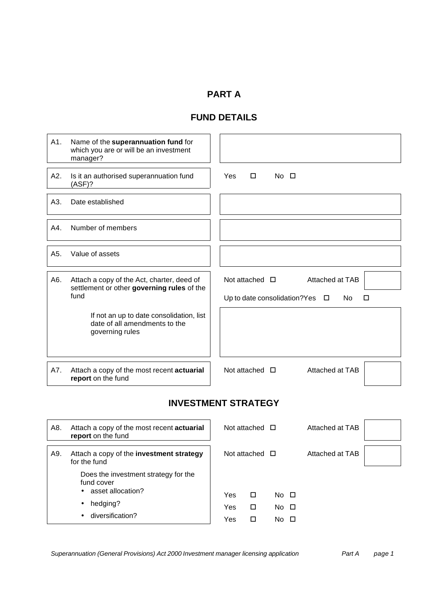# **PART A**

# **FUND DETAILS**

| A1. | Name of the superannuation fund for<br>which you are or will be an investment<br>manager?        |                                                                                                 |
|-----|--------------------------------------------------------------------------------------------------|-------------------------------------------------------------------------------------------------|
| A2. | Is it an authorised superannuation fund<br>$(ASE)$ ?                                             | Yes<br>$\Box$<br>$No$ $\Box$                                                                    |
| A3. | Date established                                                                                 |                                                                                                 |
| A4. | Number of members                                                                                |                                                                                                 |
| A5. | Value of assets                                                                                  |                                                                                                 |
| A6. | Attach a copy of the Act, charter, deed of<br>settlement or other governing rules of the<br>fund | Not attached $\Box$<br>Attached at TAB<br>Up to date consolidation? Yes $\Box$<br>No.<br>$\Box$ |
|     | If not an up to date consolidation, list<br>date of all amendments to the<br>governing rules     |                                                                                                 |
| A7. | Attach a copy of the most recent actuarial<br>report on the fund                                 | Not attached $\Box$<br>Attached at TAB                                                          |

# **INVESTMENT STRATEGY**

| A8. | Attach a copy of the most recent actuarial<br>report on the fund                                                                    |                   | Not attached $\Box$ |                                    | Attached at TAB |  |
|-----|-------------------------------------------------------------------------------------------------------------------------------------|-------------------|---------------------|------------------------------------|-----------------|--|
| A9. | Attach a copy of the investment strategy<br>for the fund                                                                            |                   | Not attached $\Box$ |                                    | Attached at TAB |  |
|     | Does the investment strategy for the<br>fund cover<br>• asset allocation?<br>hedging?<br>$\bullet$<br>diversification?<br>$\bullet$ | Yes<br>Yes<br>Yes | □<br>□<br>П         | $No$ $\Box$<br>$No$ $\Box$<br>No □ |                 |  |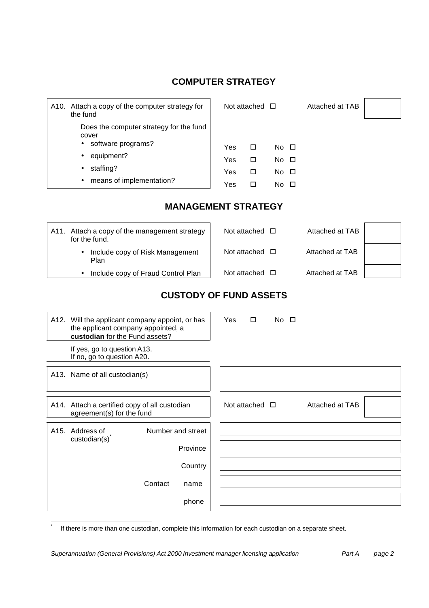# **COMPUTER STRATEGY**

| Attach a copy of the computer strategy for<br>A10.<br>the fund                                                                                 |                          | Not attached $\Box$        |                                                             | Attached at TAB |  |
|------------------------------------------------------------------------------------------------------------------------------------------------|--------------------------|----------------------------|-------------------------------------------------------------|-----------------|--|
| Does the computer strategy for the fund<br>cover<br>• software programs?<br>• equipment?<br>staffing?<br>$\bullet$<br>means of implementation? | Yes<br>Yes<br>Yes<br>Yes | □<br>□<br>$\Box$<br>$\Box$ | $No$ $\Box$<br>$No$ $\Box$<br>$No$ $\Box$<br>$No$ $\square$ |                 |  |
| <b>MANAGEMENT STRATEGY</b>                                                                                                                     |                          |                            |                                                             |                 |  |
| A11. Attach a copy of the management strategy                                                                                                  |                          | Not attached $\Box$        |                                                             | Attached at TAB |  |

| Attach a copy of the management strategy<br>A11.<br>for the fund. | Not attached $\square$ | Attached at TAB |  |
|-------------------------------------------------------------------|------------------------|-----------------|--|
| • Include copy of Risk Management<br>Plan                         | Not attached $\Box$    | Attached at TAB |  |
| Include copy of Fraud Control Plan                                | Not attached $\Box$    | Attached at TAB |  |

# **CUSTODY OF FUND ASSETS**

|                   | A12. Will the applicant company appoint, or has<br>the applicant company appointed, a<br>custodian for the Fund assets? |         |                     | Yes | $\Box$ | $No$ $\Box$         |                 |  |
|-------------------|-------------------------------------------------------------------------------------------------------------------------|---------|---------------------|-----|--------|---------------------|-----------------|--|
|                   | If yes, go to question A13.<br>If no, go to question A20.                                                               |         |                     |     |        |                     |                 |  |
|                   | A13. Name of all custodian(s)                                                                                           |         |                     |     |        |                     |                 |  |
|                   | A14. Attach a certified copy of all custodian<br>agreement(s) for the fund                                              |         |                     |     |        | Not attached $\Box$ | Attached at TAB |  |
| A <sub>15</sub> . | Address of<br>custom(s)                                                                                                 |         | Number and street   |     |        |                     |                 |  |
|                   |                                                                                                                         |         | Province<br>Country |     |        |                     |                 |  |
|                   |                                                                                                                         | Contact | name                |     |        |                     |                 |  |
|                   |                                                                                                                         |         | phone               |     |        |                     |                 |  |

If there is more than one custodian, complete this information for each custodian on a separate sheet.

*Superannuation (General Provisions) Act 2000 Investment manager licensing application Part A page 2*

l \*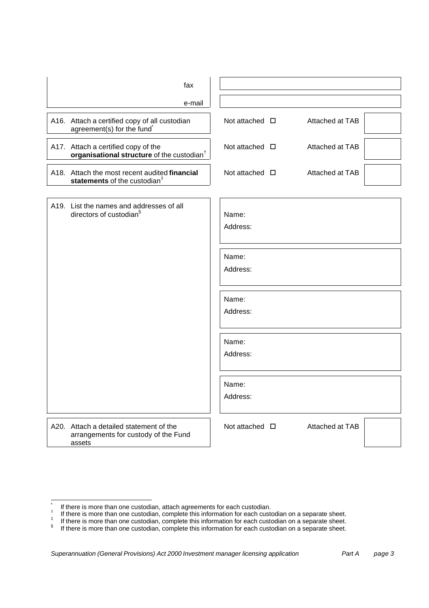| fax                                                                                           |                                           |
|-----------------------------------------------------------------------------------------------|-------------------------------------------|
| e-mail                                                                                        |                                           |
| A16. Attach a certified copy of all custodian<br>agreement(s) for the fund                    | Not attached $\square$<br>Attached at TAB |
| A17. Attach a certified copy of the<br>organisational structure of the custodian <sup>†</sup> | Not attached $\square$<br>Attached at TAB |
| A18. Attach the most recent audited financial<br>statements of the custodian <sup>#</sup>     | Not attached $\square$<br>Attached at TAB |
| A19. List the names and addresses of all<br>directors of custodian <sup>§</sup>               | Name:<br>Address:                         |
|                                                                                               | Name:<br>Address:                         |
|                                                                                               | Name:<br>Address:                         |
|                                                                                               | Name:<br>Address:                         |
|                                                                                               | Name:<br>Address:                         |
| A20. Attach a detailed statement of the<br>arrangements for custody of the Fund<br>assets     | Attached at TAB<br>Not attached $\Box$    |

l

<sup>\*</sup> If there is more than one custodian, attach agreements for each custodian.

<sup>†</sup> If there is more than one custodian, complete this information for each custodian on a separate sheet. ‡

If there is more than one custodian, complete this information for each custodian on a separate sheet.

<sup>§</sup> If there is more than one custodian, complete this information for each custodian on a separate sheet.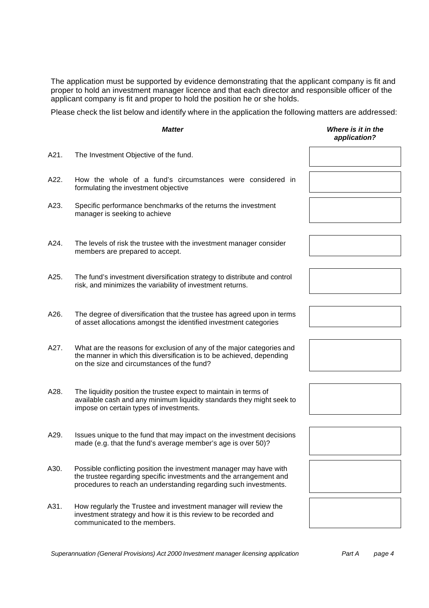The application must be supported by evidence demonstrating that the applicant company is fit and proper to hold an investment manager licence and that each director and responsible officer of the applicant company is fit and proper to hold the position he or she holds.

Please check the list below and identify where in the application the following matters are addressed:

|      | <b>Matter</b>                                                                                                                                                                                                | Where is it in the<br>application? |
|------|--------------------------------------------------------------------------------------------------------------------------------------------------------------------------------------------------------------|------------------------------------|
| A21. | The Investment Objective of the fund.                                                                                                                                                                        |                                    |
| A22. | How the whole of a fund's circumstances were considered in<br>formulating the investment objective                                                                                                           |                                    |
| A23. | Specific performance benchmarks of the returns the investment<br>manager is seeking to achieve                                                                                                               |                                    |
| A24. | The levels of risk the trustee with the investment manager consider<br>members are prepared to accept.                                                                                                       |                                    |
| A25. | The fund's investment diversification strategy to distribute and control<br>risk, and minimizes the variability of investment returns.                                                                       |                                    |
| A26. | The degree of diversification that the trustee has agreed upon in terms<br>of asset allocations amongst the identified investment categories                                                                 |                                    |
| A27. | What are the reasons for exclusion of any of the major categories and<br>the manner in which this diversification is to be achieved, depending<br>on the size and circumstances of the fund?                 |                                    |
| A28. | The liquidity position the trustee expect to maintain in terms of<br>available cash and any minimum liquidity standards they might seek to<br>impose on certain types of investments.                        |                                    |
| A29. | Issues unique to the fund that may impact on the investment decisions<br>made (e.g. that the fund's average member's age is over 50)?                                                                        |                                    |
| A30. | Possible conflicting position the investment manager may have with<br>the trustee regarding specific investments and the arrangement and<br>procedures to reach an understanding regarding such investments. |                                    |
| A31. | How regularly the Trustee and investment manager will review the<br>investment strategy and how it is this review to be recorded and<br>communicated to the members.                                         |                                    |

*Superannuation (General Provisions) Act 2000 Investment manager licensing application Part A page 4*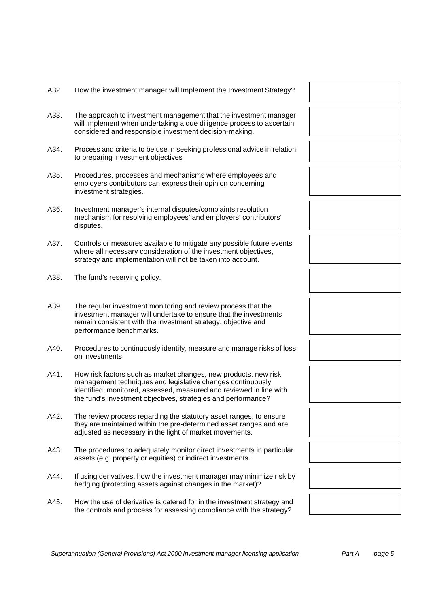- A32. How the investment manager will Implement the Investment Strategy?
- A33. The approach to investment management that the investment manager will implement when undertaking a due diligence process to ascertain considered and responsible investment decision-making.
- A34. Process and criteria to be use in seeking professional advice in relation to preparing investment objectives
- A35. Procedures, processes and mechanisms where employees and employers contributors can express their opinion concerning investment strategies.
- A36. Investment manager's internal disputes/complaints resolution mechanism for resolving employees' and employers' contributors' disputes.
- A37. Controls or measures available to mitigate any possible future events where all necessary consideration of the investment objectives, strategy and implementation will not be taken into account.
- A38. The fund's reserving policy.
- A39. The regular investment monitoring and review process that the investment manager will undertake to ensure that the investments remain consistent with the investment strategy, objective and performance benchmarks.
- A40. Procedures to continuously identify, measure and manage risks of loss on investments
- A41. How risk factors such as market changes, new products, new risk management techniques and legislative changes continuously identified, monitored, assessed, measured and reviewed in line with the fund's investment objectives, strategies and performance?
- A42. The review process regarding the statutory asset ranges, to ensure they are maintained within the pre-determined asset ranges and are adjusted as necessary in the light of market movements.
- A43. The procedures to adequately monitor direct investments in particular assets (e.g. property or equities) or indirect investments.
- A44. If using derivatives, how the investment manager may minimize risk by hedging (protecting assets against changes in the market)?
- A45. How the use of derivative is catered for in the investment strategy and the controls and process for assessing compliance with the strategy?



*Superannuation (General Provisions) Act 2000 Investment manager licensing application Part A page 5*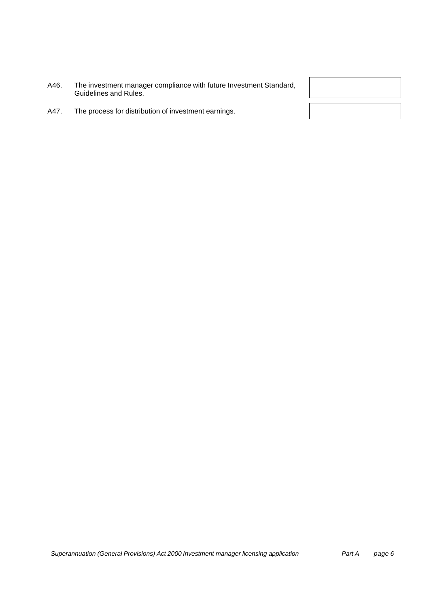| A46. | The investment manager compliance with future Investment Standard, |
|------|--------------------------------------------------------------------|
|      | Guidelines and Rules.                                              |

A47. The process for distribution of investment earnings.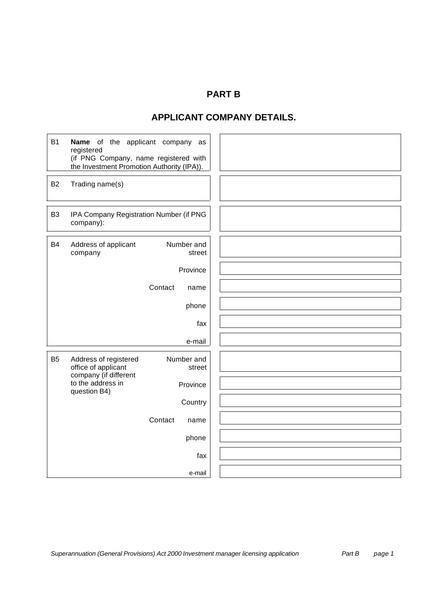# **PART B**

# **APPLICANT COMPANY DETAILS.**

| <b>B1</b>      | Name of the applicant company as<br>registered<br>(if PNG Company, name registered with<br>the Investment Promotion Authority (IPA)). |                      |  |
|----------------|---------------------------------------------------------------------------------------------------------------------------------------|----------------------|--|
| <b>B2</b>      | Trading name(s)                                                                                                                       |                      |  |
| B <sub>3</sub> | IPA Company Registration Number (if PNG<br>company):                                                                                  |                      |  |
| <b>B4</b>      | Address of applicant<br>company                                                                                                       | Number and<br>street |  |
|                |                                                                                                                                       | Province             |  |
|                |                                                                                                                                       | Contact<br>name      |  |
|                |                                                                                                                                       | phone                |  |
|                |                                                                                                                                       | fax                  |  |
|                |                                                                                                                                       | e-mail               |  |
| B <sub>5</sub> | Address of registered<br>office of applicant                                                                                          | Number and<br>street |  |
|                | company (if different<br>to the address in<br>question B4)                                                                            | Province             |  |
|                |                                                                                                                                       | Country              |  |
|                |                                                                                                                                       | Contact<br>name      |  |
|                |                                                                                                                                       | phone                |  |
|                |                                                                                                                                       | fax                  |  |
|                |                                                                                                                                       | e-mail               |  |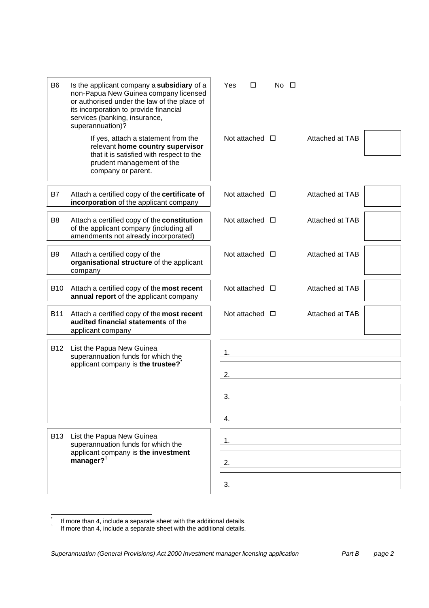| B <sub>6</sub> | Is the applicant company a subsidiary of a<br>non-Papua New Guinea company licensed<br>or authorised under the law of the place of<br>its incorporation to provide financial<br>services (banking, insurance,<br>superannuation)? | Yes | □                      | No □ |  |                 |  |
|----------------|-----------------------------------------------------------------------------------------------------------------------------------------------------------------------------------------------------------------------------------|-----|------------------------|------|--|-----------------|--|
|                | If yes, attach a statement from the<br>relevant home country supervisor<br>that it is satisfied with respect to the<br>prudent management of the<br>company or parent.                                                            |     | Not attached $\Box$    |      |  | Attached at TAB |  |
| B7             | Attach a certified copy of the certificate of<br>incorporation of the applicant company                                                                                                                                           |     | Not attached $\square$ |      |  | Attached at TAB |  |
| B <sub>8</sub> | Attach a certified copy of the constitution<br>of the applicant company (including all<br>amendments not already incorporated)                                                                                                    |     | Not attached $\square$ |      |  | Attached at TAB |  |
| B <sub>9</sub> | Attach a certified copy of the<br>organisational structure of the applicant<br>company                                                                                                                                            |     | Not attached $\square$ |      |  | Attached at TAB |  |
| <b>B10</b>     | Attach a certified copy of the most recent<br>annual report of the applicant company                                                                                                                                              |     | Not attached $\Box$    |      |  | Attached at TAB |  |
| <b>B11</b>     | Attach a certified copy of the most recent<br>audited financial statements of the<br>applicant company                                                                                                                            |     | Not attached $\Box$    |      |  | Attached at TAB |  |
| <b>B12</b>     | List the Papua New Guinea<br>superannuation funds for which the                                                                                                                                                                   | 1.  |                        |      |  |                 |  |
|                | applicant company is the trustee?                                                                                                                                                                                                 | 2.  |                        |      |  |                 |  |
|                |                                                                                                                                                                                                                                   | 3.  |                        |      |  |                 |  |
|                |                                                                                                                                                                                                                                   | 4.  |                        |      |  |                 |  |
| <b>B13</b>     | List the Papua New Guinea<br>superannuation funds for which the                                                                                                                                                                   | 1.  |                        |      |  |                 |  |
|                | applicant company is the investment<br>manager? <sup>†</sup>                                                                                                                                                                      | 2.  |                        |      |  |                 |  |
|                |                                                                                                                                                                                                                                   | 3.  |                        |      |  |                 |  |

 \* If more than 4, include a separate sheet with the additional details.

<sup>†</sup> If more than 4, include a separate sheet with the additional details.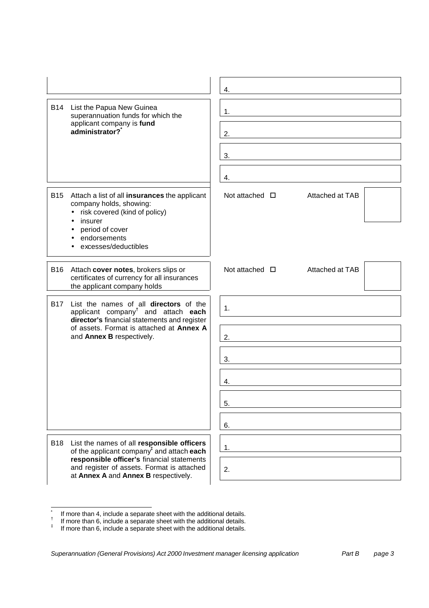|                                                                                                                                                                                                                                                       | 4.                                           |
|-------------------------------------------------------------------------------------------------------------------------------------------------------------------------------------------------------------------------------------------------------|----------------------------------------------|
| B14<br>List the Papua New Guinea<br>superannuation funds for which the<br>applicant company is fund<br>administrator?                                                                                                                                 | 1.<br>2.<br>3.<br>4.                         |
| <b>B15</b><br>Attach a list of all insurances the applicant<br>company holds, showing:<br>risk covered (kind of policy)<br>$\bullet$<br>insurer<br>period of cover<br>endorsements<br>excesses/deductibles                                            | Not attached $\Box$<br>Attached at TAB       |
| <b>B16</b><br>Attach cover notes, brokers slips or<br>certificates of currency for all insurances<br>the applicant company holds                                                                                                                      | Not attached $\Box$<br>Attached at TAB       |
| List the names of all directors of the<br><b>B17</b><br>applicant company <sup>t</sup> and attach each<br>director's financial statements and register<br>of assets. Format is attached at Annex A<br>and Annex B respectively.                       | $\mathbf{1}$ .<br>2.<br>3.<br>4.<br>5.<br>6. |
| List the names of all responsible officers<br><b>B18</b><br>of the applicant company <sup>#</sup> and attach each<br>responsible officer's financial statements<br>and register of assets. Format is attached<br>at Annex A and Annex B respectively. | $\mathbf{1}$ .<br>2.                         |

 \* If more than 4, include a separate sheet with the additional details.

<sup>†</sup> If more than 6, include a separate sheet with the additional details.

<sup>‡</sup> If more than 6, include a separate sheet with the additional details.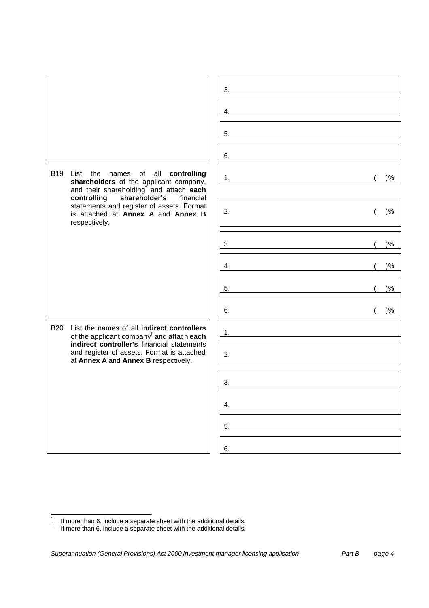|                                                                                                                                               | 3.               |
|-----------------------------------------------------------------------------------------------------------------------------------------------|------------------|
|                                                                                                                                               | 4.               |
|                                                                                                                                               | 5.               |
|                                                                                                                                               | 6.               |
| <b>B19</b><br>of all<br>controlling<br>List the<br>names<br>shareholders of the applicant company,<br>and their shareholding and attach each  | $)\%$<br>1.      |
| shareholder's<br>controlling<br>financial<br>statements and register of assets. Format<br>is attached at Annex A and Annex B<br>respectively. | 2.<br>$)\%$<br>( |
|                                                                                                                                               | $)\%$<br>3.      |
|                                                                                                                                               | $)\%$<br>4.      |
|                                                                                                                                               | $)\%$<br>5.      |
|                                                                                                                                               | $)\%$<br>6.      |
| <b>B20</b><br>List the names of all indirect controllers<br>of the applicant company <sup>t</sup> and attach each                             | 1.               |
| indirect controller's financial statements<br>and register of assets. Format is attached<br>at Annex A and Annex B respectively.              | 2.               |
|                                                                                                                                               | 3.               |
|                                                                                                                                               | 4.               |
|                                                                                                                                               | 5.               |
|                                                                                                                                               | 6.               |

 \* If more than 6, include a separate sheet with the additional details.

<sup>†</sup> If more than 6, include a separate sheet with the additional details.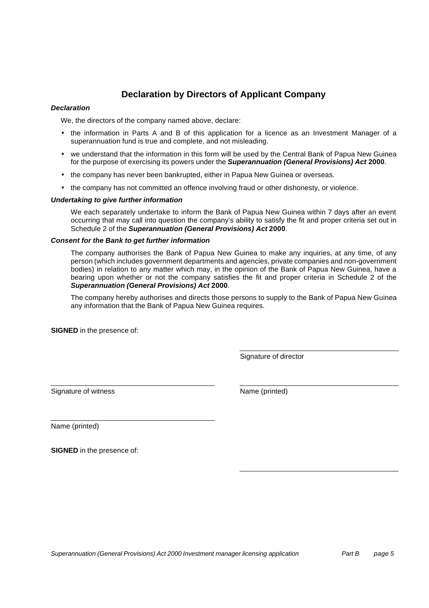# **Declaration by Directors of Applicant Company**

#### *Declaration*

We, the directors of the company named above, declare:

- the information in Parts A and B of this application for a licence as an Investment Manager of a superannuation fund is true and complete, and not misleading.
- we understand that the information in this form will be used by the Central Bank of Papua New Guinea for the purpose of exercising its powers under the *Superannuation (General Provisions) Act* **2000**.
- the company has never been bankrupted, either in Papua New Guinea or overseas.
- the company has not committed an offence involving fraud or other dishonesty, or violence.

#### *Undertaking to give further information*

We each separately undertake to inform the Bank of Papua New Guinea within 7 days after an event occurring that may call into question the company's ability to satisfy the fit and proper criteria set out in Schedule 2 of the *Superannuation (General Provisions) Act* **2000**.

#### *Consent for the Bank to get further information*

The company authorises the Bank of Papua New Guinea to make any inquiries, at any time, of any person (which includes government departments and agencies, private companies and non-government bodies) in relation to any matter which may, in the opinion of the Bank of Papua New Guinea, have a bearing upon whether or not the company satisfies the fit and proper criteria in Schedule 2 of the *Superannuation (General Provisions) Act* **2000**.

The company hereby authorises and directs those persons to supply to the Bank of Papua New Guinea any information that the Bank of Papua New Guinea requires.

**SIGNED** in the presence of:

Signature of director

Signature of witness Name (printed)

Name (printed)

**SIGNED** in the presence of: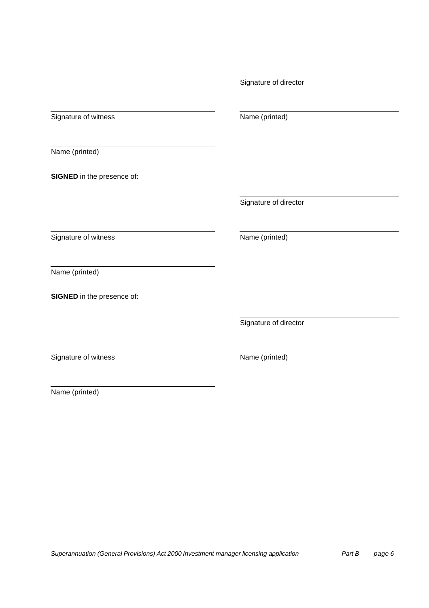| Signature of witness              | Name (printed)        |
|-----------------------------------|-----------------------|
|                                   |                       |
| Name (printed)                    |                       |
| <b>SIGNED</b> in the presence of: |                       |
|                                   | Signature of director |
| Signature of witness              | Name (printed)        |
| Name (printed)                    |                       |
| SIGNED in the presence of:        |                       |
|                                   | Signature of director |
| Signature of witness              | Name (printed)        |

Signature of director

Name (printed)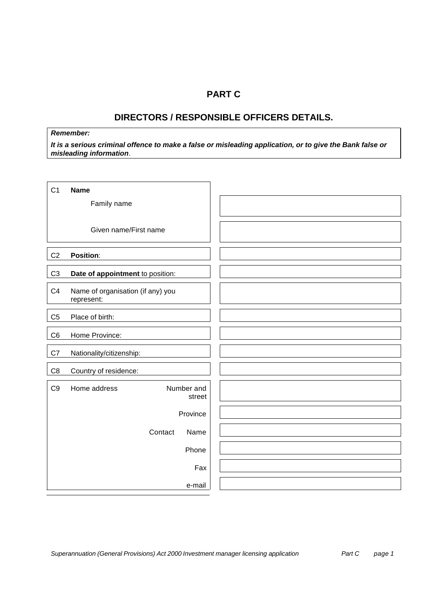## **PART C**

# **DIRECTORS / RESPONSIBLE OFFICERS DETAILS.**

### *Remember:*

*It is a serious criminal offence to make a false or misleading application, or to give the Bank false or misleading information*.

| C <sub>1</sub> | <b>Name</b>                                     |         |                      |
|----------------|-------------------------------------------------|---------|----------------------|
|                | Family name                                     |         |                      |
|                | Given name/First name                           |         |                      |
|                |                                                 |         |                      |
| C <sub>2</sub> | <b>Position:</b>                                |         |                      |
| C <sub>3</sub> | Date of appointment to position:                |         |                      |
| C <sub>4</sub> | Name of organisation (if any) you<br>represent: |         |                      |
| C <sub>5</sub> | Place of birth:                                 |         |                      |
| C <sub>6</sub> | Home Province:                                  |         |                      |
| C7             | Nationality/citizenship:                        |         |                      |
| $\mathbb{C}8$  | Country of residence:                           |         |                      |
| C <sub>9</sub> | Home address                                    |         | Number and<br>street |
|                |                                                 |         | Province             |
|                |                                                 | Contact | Name                 |
|                |                                                 |         | Phone                |
|                |                                                 |         | Fax                  |
|                |                                                 |         | e-mail               |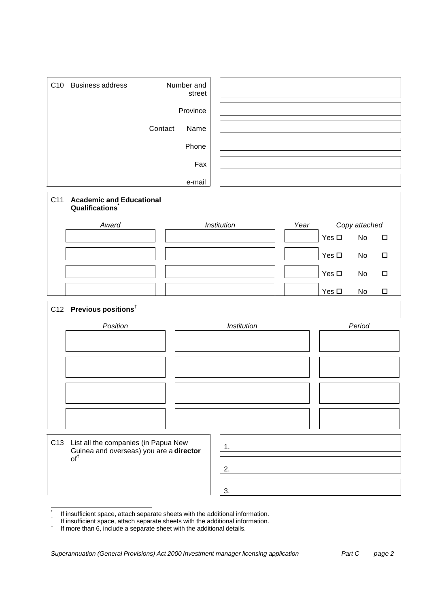|     | C10 Business address                                                                                      |         | Number and<br>street |             |      |               |               |        |
|-----|-----------------------------------------------------------------------------------------------------------|---------|----------------------|-------------|------|---------------|---------------|--------|
|     |                                                                                                           |         | Province             |             |      |               |               |        |
|     |                                                                                                           | Contact | Name                 |             |      |               |               |        |
|     |                                                                                                           |         | Phone                |             |      |               |               |        |
|     |                                                                                                           |         | Fax                  |             |      |               |               |        |
|     |                                                                                                           |         | e-mail               |             |      |               |               |        |
| C11 | <b>Academic and Educational</b><br>Qualifications <sup>®</sup>                                            |         |                      |             |      |               |               |        |
|     | Award                                                                                                     |         |                      | Institution | Year |               | Copy attached |        |
|     |                                                                                                           |         |                      |             |      | Yes $\square$ | No            | $\Box$ |
|     |                                                                                                           |         |                      |             |      | Yes $\square$ | No            | $\Box$ |
|     |                                                                                                           |         |                      |             |      | Yes $\square$ | No            | $\Box$ |
|     |                                                                                                           |         |                      |             |      | Yes $\square$ | No            | $\Box$ |
|     | C12 Previous positions <sup>t</sup>                                                                       |         |                      |             |      |               |               |        |
|     | Position                                                                                                  |         |                      | Institution |      |               | Period        |        |
|     |                                                                                                           |         |                      |             |      |               |               |        |
|     |                                                                                                           |         |                      |             |      |               |               |        |
|     |                                                                                                           |         |                      |             |      |               |               |        |
|     |                                                                                                           |         |                      |             |      |               |               |        |
|     |                                                                                                           |         |                      |             |      |               |               |        |
|     |                                                                                                           |         |                      |             |      |               |               |        |
| C13 | List all the companies (in Papua New<br>Guinea and overseas) you are a <b>director</b><br>of <sup>‡</sup> |         |                      | 1.          |      |               |               |        |
|     |                                                                                                           |         |                      | 2.          |      |               |               |        |
|     |                                                                                                           |         |                      | 3.          |      |               |               |        |

 \* If insufficient space, attach separate sheets with the additional information.

<sup>†</sup> If insufficient space, attach separate sheets with the additional information. ‡

If more than 6, include a separate sheet with the additional details.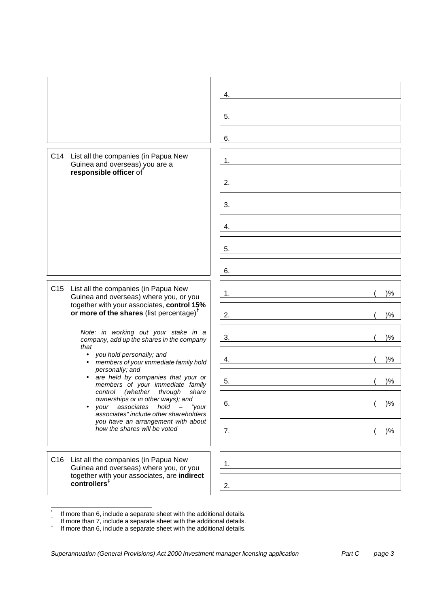|                                                                                                                                                               | 4.          |
|---------------------------------------------------------------------------------------------------------------------------------------------------------------|-------------|
|                                                                                                                                                               | 5.          |
|                                                                                                                                                               | 6.          |
| C14 List all the companies (in Papua New<br>Guinea and overseas) you are a                                                                                    | 1.          |
| responsible officer of                                                                                                                                        | 2.          |
|                                                                                                                                                               | 3.          |
|                                                                                                                                                               | 4.          |
|                                                                                                                                                               | 5.          |
|                                                                                                                                                               | 6.          |
| C <sub>15</sub><br>List all the companies (in Papua New<br>Guinea and overseas) where you, or you                                                             | $)\%$<br>1. |
| together with your associates, control 15%<br>or more of the shares (list percentage) <sup>†</sup>                                                            | $)\%$<br>2. |
| Note: in working out your stake in a<br>company, add up the shares in the company<br>that                                                                     | $)\%$<br>3. |
| you hold personally; and<br>$\bullet$<br>members of your immediate family hold<br>$\bullet$                                                                   | $)\%$<br>4. |
| personally; and<br>are held by companies that your or<br>$\bullet$<br>members of your immediate family                                                        | $)\%$<br>5. |
| control (whether<br>through<br>share<br>ownerships or in other ways); and<br>your associates<br>$hold$ $-$<br>"your<br>associates" include other shareholders | 6.<br>$)\%$ |
| you have an arrangement with about<br>how the shares will be voted                                                                                            | 7.<br>)%    |
| C16<br>List all the companies (in Papua New<br>Guinea and overseas) where you, or you                                                                         | 1.          |
| together with your associates, are indirect<br>$co$ ntrollers <sup><math>†</math></sup>                                                                       | 2.          |

 $\mathsf{r}$ 

٦

 \* If more than 6, include a separate sheet with the additional details.

<sup>†</sup> If more than 7, include a separate sheet with the additional details. ‡

If more than 6, include a separate sheet with the additional details.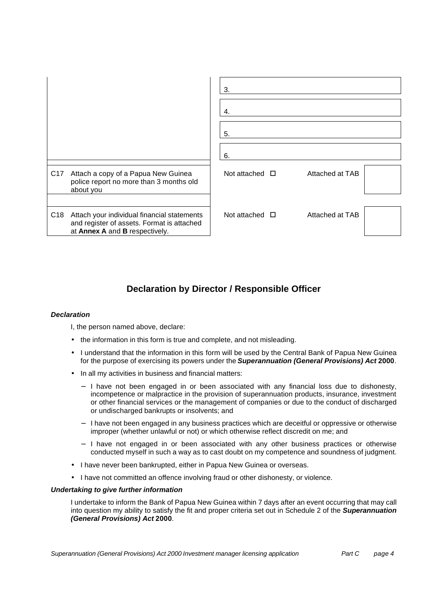|                 |                                                                                                                             | 3.<br>4.            |                 |  |
|-----------------|-----------------------------------------------------------------------------------------------------------------------------|---------------------|-----------------|--|
|                 |                                                                                                                             | 5.<br>6.            |                 |  |
|                 |                                                                                                                             |                     |                 |  |
| C <sub>17</sub> | Attach a copy of a Papua New Guinea<br>police report no more than 3 months old<br>about you                                 | Not attached $\Box$ | Attached at TAB |  |
|                 |                                                                                                                             |                     |                 |  |
| C <sub>18</sub> | Attach your individual financial statements<br>and register of assets. Format is attached<br>at Annex A and B respectively. | Not attached $\Box$ | Attached at TAB |  |

# **Declaration by Director / Responsible Officer**

### *Declaration*

I, the person named above, declare:

- the information in this form is true and complete, and not misleading.
- I understand that the information in this form will be used by the Central Bank of Papua New Guinea for the purpose of exercising its powers under the *Superannuation (General Provisions) Act* **2000**.
- In all my activities in business and financial matters:
	- − I have not been engaged in or been associated with any financial loss due to dishonesty, incompetence or malpractice in the provision of superannuation products, insurance, investment or other financial services or the management of companies or due to the conduct of discharged or undischarged bankrupts or insolvents; and
	- − I have not been engaged in any business practices which are deceitful or oppressive or otherwise improper (whether unlawful or not) or which otherwise reflect discredit on me; and
	- − I have not engaged in or been associated with any other business practices or otherwise conducted myself in such a way as to cast doubt on my competence and soundness of judgment.
- I have never been bankrupted, either in Papua New Guinea or overseas.
- I have not committed an offence involving fraud or other dishonesty, or violence.

#### *Undertaking to give further information*

I undertake to inform the Bank of Papua New Guinea within 7 days after an event occurring that may call into question my ability to satisfy the fit and proper criteria set out in Schedule 2 of the *Superannuation (General Provisions) Act* **2000**.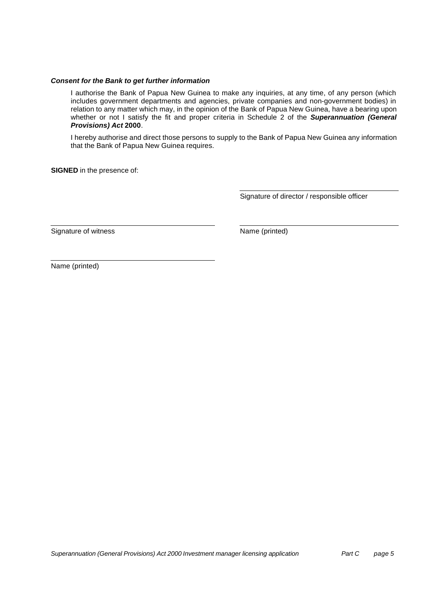#### *Consent for the Bank to get further information*

I authorise the Bank of Papua New Guinea to make any inquiries, at any time, of any person (which includes government departments and agencies, private companies and non-government bodies) in relation to any matter which may, in the opinion of the Bank of Papua New Guinea, have a bearing upon whether or not I satisfy the fit and proper criteria in Schedule 2 of the *Superannuation (General Provisions) Act* **2000**.

I hereby authorise and direct those persons to supply to the Bank of Papua New Guinea any information that the Bank of Papua New Guinea requires.

**SIGNED** in the presence of:

Signature of director / responsible officer

Signature of witness Name (printed)

Name (printed)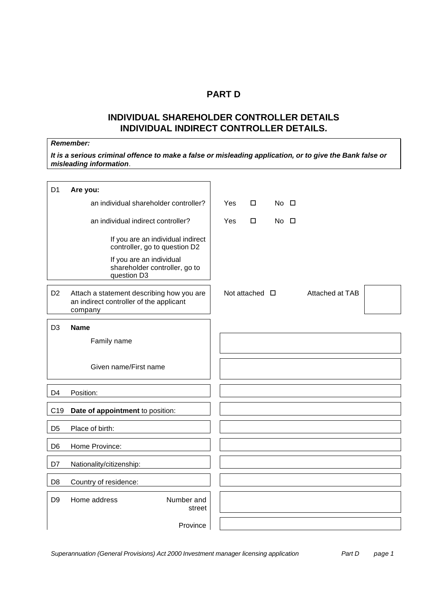## **PART D**

# **INDIVIDUAL SHAREHOLDER CONTROLLER DETAILS INDIVIDUAL INDIRECT CONTROLLER DETAILS.**

### *Remember:*

*It is a serious criminal offence to make a false or misleading application, or to give the Bank false or misleading information*.

| D <sub>1</sub>  | Are you:                                                                                        |     |                |                |                 |  |
|-----------------|-------------------------------------------------------------------------------------------------|-----|----------------|----------------|-----------------|--|
|                 | an individual shareholder controller?                                                           | Yes | $\Box$         | $No$ $\square$ |                 |  |
|                 | an individual indirect controller?                                                              | Yes | □              | $No$ $\Box$    |                 |  |
|                 | If you are an individual indirect<br>controller, go to question D2                              |     |                |                |                 |  |
|                 | If you are an individual<br>shareholder controller, go to<br>question D3                        |     |                |                |                 |  |
| D <sub>2</sub>  | Attach a statement describing how you are<br>an indirect controller of the applicant<br>company |     | Not attached □ |                | Attached at TAB |  |
| D <sub>3</sub>  | <b>Name</b>                                                                                     |     |                |                |                 |  |
|                 | Family name                                                                                     |     |                |                |                 |  |
|                 |                                                                                                 |     |                |                |                 |  |
|                 | Given name/First name                                                                           |     |                |                |                 |  |
| D <sub>4</sub>  | Position:                                                                                       |     |                |                |                 |  |
| C <sub>19</sub> | Date of appointment to position:                                                                |     |                |                |                 |  |
| D <sub>5</sub>  | Place of birth:                                                                                 |     |                |                |                 |  |
| D <sub>6</sub>  | Home Province:                                                                                  |     |                |                |                 |  |
| D7              | Nationality/citizenship:                                                                        |     |                |                |                 |  |
| D <sub>8</sub>  | Country of residence:                                                                           |     |                |                |                 |  |
| D <sub>9</sub>  | Home address<br>Number and<br>street                                                            |     |                |                |                 |  |
|                 | Province                                                                                        |     |                |                |                 |  |

*Superannuation (General Provisions) Act 2000 Investment manager licensing application Part D page 1*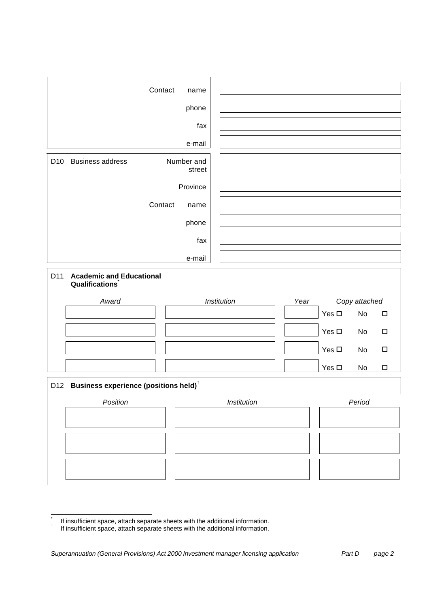|                 | Contact                                           | name                 |             |      |               |               |        |
|-----------------|---------------------------------------------------|----------------------|-------------|------|---------------|---------------|--------|
|                 |                                                   | phone                |             |      |               |               |        |
|                 |                                                   | fax                  |             |      |               |               |        |
|                 |                                                   | e-mail               |             |      |               |               |        |
| D <sub>10</sub> | <b>Business address</b>                           | Number and<br>street |             |      |               |               |        |
|                 |                                                   | Province             |             |      |               |               |        |
|                 | Contact                                           | name                 |             |      |               |               |        |
|                 |                                                   | phone                |             |      |               |               |        |
|                 |                                                   | fax                  |             |      |               |               |        |
|                 |                                                   | e-mail               |             |      |               |               |        |
| D11             | <b>Academic and Educational</b><br>Qualifications |                      |             |      |               |               |        |
|                 | Award                                             |                      | Institution | Year |               | Copy attached |        |
|                 |                                                   |                      |             |      | Yes $\square$ | No            | $\Box$ |
|                 |                                                   |                      |             |      | Yes $\square$ | No            | $\Box$ |
|                 |                                                   |                      |             |      | Yes $\square$ | No            | $\Box$ |
|                 |                                                   |                      |             |      | Yes $\square$ | No            | $\Box$ |
| D12             | Business experience (positions held) <sup>†</sup> |                      |             |      |               |               |        |
|                 | Position                                          |                      | Institution |      |               | Period        |        |
|                 |                                                   |                      |             |      |               |               |        |
|                 |                                                   |                      |             |      |               |               |        |
|                 |                                                   |                      |             |      |               |               |        |
|                 |                                                   |                      |             |      |               |               |        |

 \* If insufficient space, attach separate sheets with the additional information.

<sup>†</sup> If insufficient space, attach separate sheets with the additional information.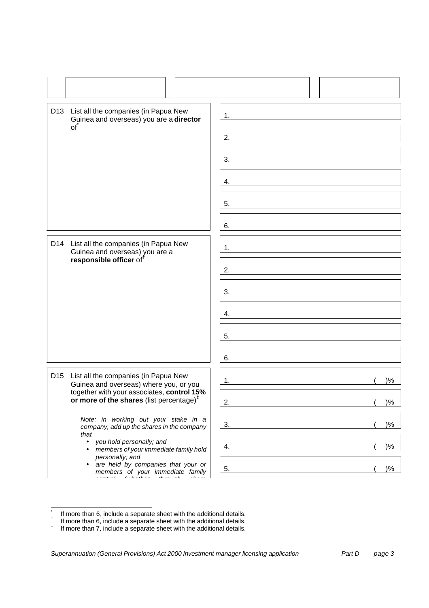|                                          | D13 List all the companies (in Papua New<br>Guinea and overseas) you are a director                                                                                                      | 1.          |
|------------------------------------------|------------------------------------------------------------------------------------------------------------------------------------------------------------------------------------------|-------------|
|                                          | of <sup>*</sup>                                                                                                                                                                          | 2.          |
|                                          |                                                                                                                                                                                          | 3.          |
|                                          |                                                                                                                                                                                          | 4.          |
|                                          |                                                                                                                                                                                          | 5.          |
|                                          |                                                                                                                                                                                          | 6.          |
| D14 List all the companies (in Papua New | Guinea and overseas) you are a                                                                                                                                                           | 1.          |
|                                          | responsible officer of <sup>f</sup>                                                                                                                                                      | 2.          |
|                                          |                                                                                                                                                                                          | 3.          |
|                                          |                                                                                                                                                                                          | 4.          |
|                                          |                                                                                                                                                                                          | 5.          |
|                                          |                                                                                                                                                                                          | 6.          |
| D <sub>15</sub>                          | List all the companies (in Papua New<br>Guinea and overseas) where you, or you                                                                                                           | $)\%$<br>1. |
|                                          | together with your associates, control 15%<br>or more of the shares (list percentage) $1$                                                                                                | 2.<br>$)\%$ |
|                                          | Note: in working out your stake in a<br>company, add up the shares in the company<br>that<br>you hold personally; and<br>$\bullet$<br>members of your immediate family hold<br>$\bullet$ | $)\%$<br>3. |
|                                          |                                                                                                                                                                                          | $)\%$<br>4. |
|                                          | personally; and<br>are held by companies that your or<br>$\bullet$<br>members of your immediate family                                                                                   | $)\%$<br>5. |

*control (whether through share*

 \* If more than 6, include a separate sheet with the additional details.

<sup>†</sup> If more than 6, include a separate sheet with the additional details.

<sup>‡</sup> If more than 7, include a separate sheet with the additional details.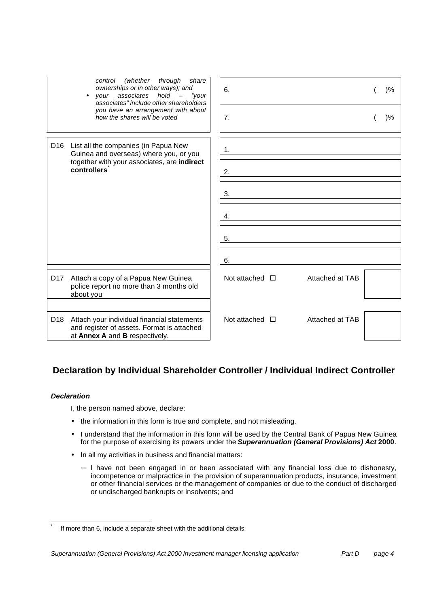|                 | (whether<br>through<br>share<br>control<br>ownerships or in other ways); and<br>your associates hold -<br>"your<br>$\bullet$<br>associates" include other shareholders<br>you have an arrangement with about<br>how the shares will be voted | 6.<br>7.                               | $)\%$<br>$)\%$ |
|-----------------|----------------------------------------------------------------------------------------------------------------------------------------------------------------------------------------------------------------------------------------------|----------------------------------------|----------------|
| D <sub>16</sub> | List all the companies (in Papua New<br>Guinea and overseas) where you, or you<br>together with your associates, are indirect<br>controllers                                                                                                 | 1.<br>2.<br>3.<br>4.<br>5.<br>6.       |                |
| D <sub>17</sub> | Attach a copy of a Papua New Guinea<br>police report no more than 3 months old<br>about you                                                                                                                                                  | Attached at TAB<br>Not attached $\Box$ |                |
| D <sub>18</sub> | Attach your individual financial statements<br>and register of assets. Format is attached<br>at Annex A and B respectively.                                                                                                                  | Attached at TAB<br>Not attached $\Box$ |                |

# **Declaration by Individual Shareholder Controller / Individual Indirect Controller**

### *Declaration*

l \*

I, the person named above, declare:

- the information in this form is true and complete, and not misleading.
- I understand that the information in this form will be used by the Central Bank of Papua New Guinea for the purpose of exercising its powers under the *Superannuation (General Provisions) Act* **2000**.
- In all my activities in business and financial matters:
	- − I have not been engaged in or been associated with any financial loss due to dishonesty, incompetence or malpractice in the provision of superannuation products, insurance, investment or other financial services or the management of companies or due to the conduct of discharged or undischarged bankrupts or insolvents; and

If more than 6, include a separate sheet with the additional details.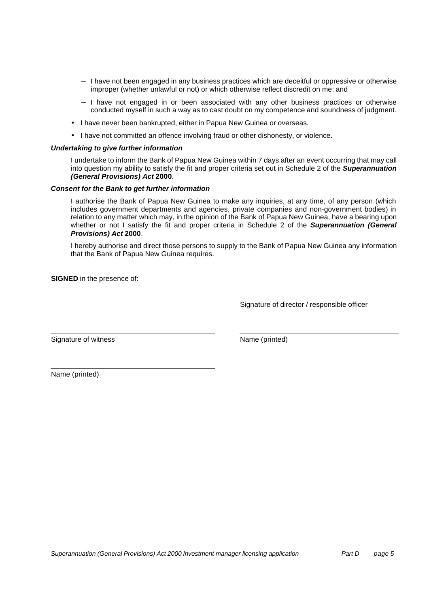- − I have not been engaged in any business practices which are deceitful or oppressive or otherwise improper (whether unlawful or not) or which otherwise reflect discredit on me; and
- − I have not engaged in or been associated with any other business practices or otherwise conducted myself in such a way as to cast doubt on my competence and soundness of judgment.
- I have never been bankrupted, either in Papua New Guinea or overseas.
- I have not committed an offence involving fraud or other dishonesty, or violence.

#### *Undertaking to give further information*

I undertake to inform the Bank of Papua New Guinea within 7 days after an event occurring that may call into question my ability to satisfy the fit and proper criteria set out in Schedule 2 of the *Superannuation (General Provisions) Act* **2000**.

#### *Consent for the Bank to get further information*

I authorise the Bank of Papua New Guinea to make any inquiries, at any time, of any person (which includes government departments and agencies, private companies and non-government bodies) in relation to any matter which may, in the opinion of the Bank of Papua New Guinea, have a bearing upon whether or not I satisfy the fit and proper criteria in Schedule 2 of the *Superannuation (General Provisions) Act* **2000**.

I hereby authorise and direct those persons to supply to the Bank of Papua New Guinea any information that the Bank of Papua New Guinea requires.

**SIGNED** in the presence of:

Signature of director / responsible officer

Signature of witness Name (printed)

Name (printed)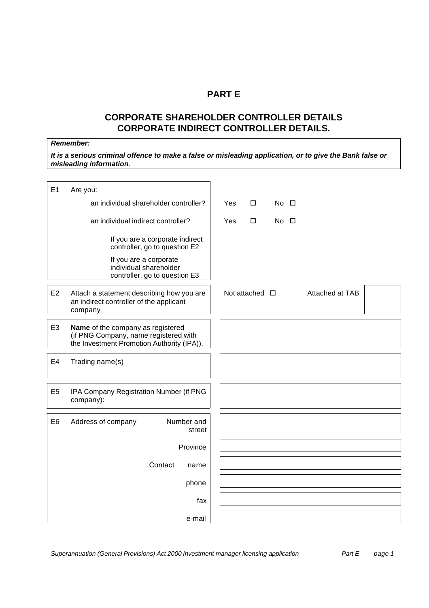## **PART E**

# **CORPORATE SHAREHOLDER CONTROLLER DETAILS CORPORATE INDIRECT CONTROLLER DETAILS.**

### *Remember:*

*It is a serious criminal offence to make a false or misleading application, or to give the Bank false or misleading information*.

| E1             | Are you:                                                                                                                 |     |                |             |                 |  |
|----------------|--------------------------------------------------------------------------------------------------------------------------|-----|----------------|-------------|-----------------|--|
|                | an individual shareholder controller?                                                                                    | Yes | $\Box$         | $No$ $\Box$ |                 |  |
|                | an individual indirect controller?                                                                                       | Yes | $\Box$         | $No$ $\Box$ |                 |  |
|                | If you are a corporate indirect<br>controller, go to question E2                                                         |     |                |             |                 |  |
|                | If you are a corporate<br>individual shareholder<br>controller, go to question E3                                        |     |                |             |                 |  |
| E <sub>2</sub> | Attach a statement describing how you are<br>an indirect controller of the applicant<br>company                          |     | Not attached □ |             | Attached at TAB |  |
| E <sub>3</sub> | Name of the company as registered<br>(if PNG Company, name registered with<br>the Investment Promotion Authority (IPA)). |     |                |             |                 |  |
| E <sub>4</sub> | Trading name(s)                                                                                                          |     |                |             |                 |  |
| E <sub>5</sub> | IPA Company Registration Number (if PNG<br>company):                                                                     |     |                |             |                 |  |
| E <sub>6</sub> | Number and<br>Address of company<br>street                                                                               |     |                |             |                 |  |
|                | Province                                                                                                                 |     |                |             |                 |  |
|                | Contact<br>name                                                                                                          |     |                |             |                 |  |
|                | phone                                                                                                                    |     |                |             |                 |  |
|                | fax                                                                                                                      |     |                |             |                 |  |
|                | e-mail                                                                                                                   |     |                |             |                 |  |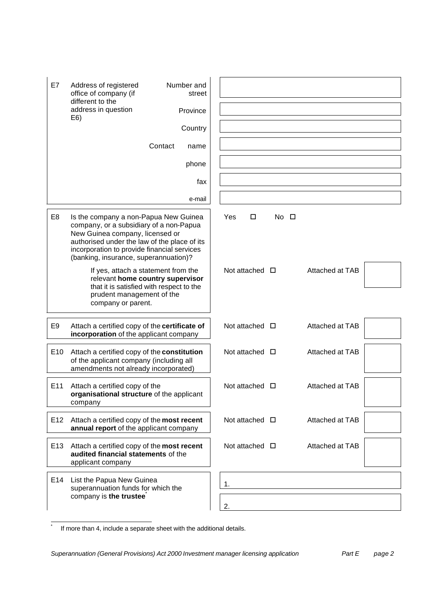| E7                                                                                                                                                                     | Address of registered<br>office of company (if<br>different to the<br>address in question<br>E6)<br>Contact                                                                                                                                                 | Number and<br>street<br>Province<br>Country<br>name |                        |                |                 |  |
|------------------------------------------------------------------------------------------------------------------------------------------------------------------------|-------------------------------------------------------------------------------------------------------------------------------------------------------------------------------------------------------------------------------------------------------------|-----------------------------------------------------|------------------------|----------------|-----------------|--|
|                                                                                                                                                                        |                                                                                                                                                                                                                                                             | phone                                               |                        |                |                 |  |
|                                                                                                                                                                        |                                                                                                                                                                                                                                                             | fax                                                 |                        |                |                 |  |
| E <sub>8</sub>                                                                                                                                                         | Is the company a non-Papua New Guinea<br>company, or a subsidiary of a non-Papua<br>New Guinea company, licensed or<br>authorised under the law of the place of its<br>incorporation to provide financial services<br>(banking, insurance, superannuation)? | e-mail                                              | Yes<br>□               | $No$ $\square$ |                 |  |
| If yes, attach a statement from the<br>relevant home country supervisor<br>that it is satisfied with respect to the<br>prudent management of the<br>company or parent. |                                                                                                                                                                                                                                                             |                                                     | Not attached $\Box$    |                | Attached at TAB |  |
| E <sub>9</sub>                                                                                                                                                         | Attach a certified copy of the certificate of<br>incorporation of the applicant company                                                                                                                                                                     |                                                     | Not attached $\Box$    |                | Attached at TAB |  |
| E <sub>10</sub>                                                                                                                                                        | Attach a certified copy of the constitution<br>of the applicant company (including all<br>amendments not already incorporated)                                                                                                                              |                                                     | Not attached $\Box$    |                | Attached at TAB |  |
| E11                                                                                                                                                                    | Attach a certified copy of the<br>organisational structure of the applicant<br>company                                                                                                                                                                      |                                                     | Not attached           | □              | Attached at TAB |  |
| E <sub>12</sub>                                                                                                                                                        | Attach a certified copy of the most recent<br>annual report of the applicant company                                                                                                                                                                        |                                                     | Not attached $\Box$    |                | Attached at TAB |  |
| E13                                                                                                                                                                    | Attach a certified copy of the most recent<br>audited financial statements of the<br>applicant company                                                                                                                                                      |                                                     | Not attached $\square$ |                | Attached at TAB |  |
| E14                                                                                                                                                                    | List the Papua New Guinea<br>superannuation funds for which the<br>company is the trustee                                                                                                                                                                   |                                                     | 1.<br>2.               |                |                 |  |

l \*

If more than 4, include a separate sheet with the additional details.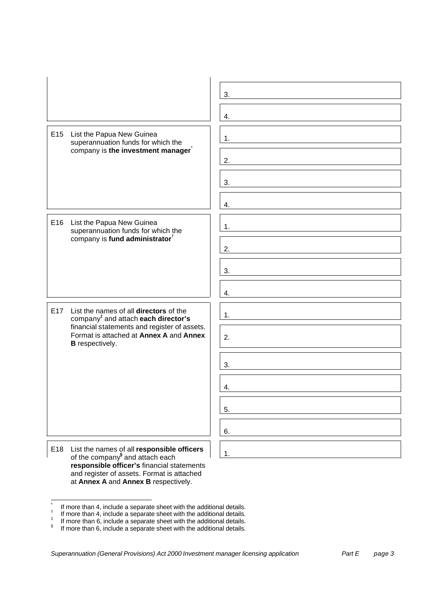|                 |                                                                                                                                                                                                                | 3. |
|-----------------|----------------------------------------------------------------------------------------------------------------------------------------------------------------------------------------------------------------|----|
|                 |                                                                                                                                                                                                                | 4. |
| E <sub>15</sub> | List the Papua New Guinea<br>superannuation funds for which the<br>company is the investment manager                                                                                                           | 1. |
|                 |                                                                                                                                                                                                                | 2. |
|                 |                                                                                                                                                                                                                | 3. |
|                 |                                                                                                                                                                                                                | 4. |
|                 | E16 List the Papua New Guinea<br>superannuation funds for which the<br>company is fund administrator <sup>†</sup>                                                                                              | 1. |
|                 |                                                                                                                                                                                                                | 2. |
|                 |                                                                                                                                                                                                                | 3. |
|                 |                                                                                                                                                                                                                | 4. |
| E <sub>17</sub> | List the names of all directors of the<br>company <sup>#</sup> and attach each director's<br>financial statements and register of assets.<br>Format is attached at Annex A and Annex<br><b>B</b> respectively. | 1. |
|                 |                                                                                                                                                                                                                | 2. |
|                 |                                                                                                                                                                                                                | 3. |
|                 |                                                                                                                                                                                                                | 4. |
|                 |                                                                                                                                                                                                                | 5. |
|                 |                                                                                                                                                                                                                | 6. |
| E18             | List the names of all <b>responsible officers</b><br>of the company <sup>§</sup> and attach each<br>responsible officer's financial statements                                                                 | 1. |

and register of assets. Format is attached at **Annex A** and **Annex B** respectively.

l

<sup>\*</sup> If more than 4, include a separate sheet with the additional details.

<sup>†</sup> If more than 4, include a separate sheet with the additional details. ‡

If more than 6, include a separate sheet with the additional details.

<sup>§</sup> If more than 6, include a separate sheet with the additional details.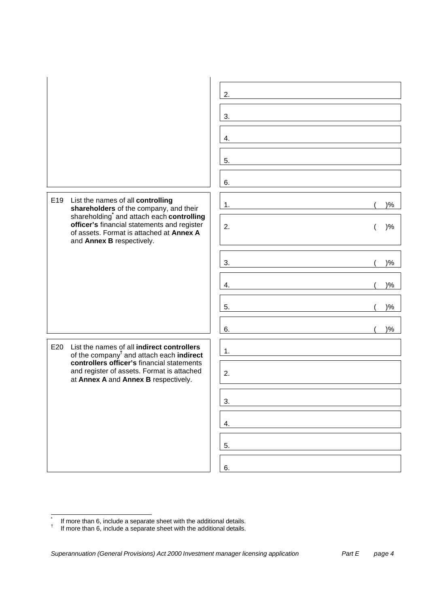|                                                                                                                                                                  | 2.          |
|------------------------------------------------------------------------------------------------------------------------------------------------------------------|-------------|
|                                                                                                                                                                  | 3.          |
|                                                                                                                                                                  | 4.          |
|                                                                                                                                                                  |             |
|                                                                                                                                                                  | 5.          |
|                                                                                                                                                                  | 6.          |
| E19<br>List the names of all controlling<br>shareholders of the company, and their                                                                               | $)\%$<br>1. |
| shareholding and attach each controlling<br>officer's financial statements and register<br>of assets. Format is attached at Annex A<br>and Annex B respectively. | 2.<br>$)\%$ |
|                                                                                                                                                                  | $)\%$<br>3. |
|                                                                                                                                                                  | $)\%$<br>4. |
|                                                                                                                                                                  | $)\%$<br>5. |
|                                                                                                                                                                  | $)\%$<br>6. |
| E20<br>List the names of all indirect controllers<br>of the company <sup>t</sup> and attach each indirect                                                        | 1.          |
| controllers officer's financial statements<br>and register of assets. Format is attached<br>at Annex A and Annex B respectively.                                 | 2.          |
|                                                                                                                                                                  | 3.          |
|                                                                                                                                                                  | 4.          |
|                                                                                                                                                                  | 5.          |
|                                                                                                                                                                  | 6.          |

 \* If more than 6, include a separate sheet with the additional details.

<sup>†</sup> If more than 6, include a separate sheet with the additional details.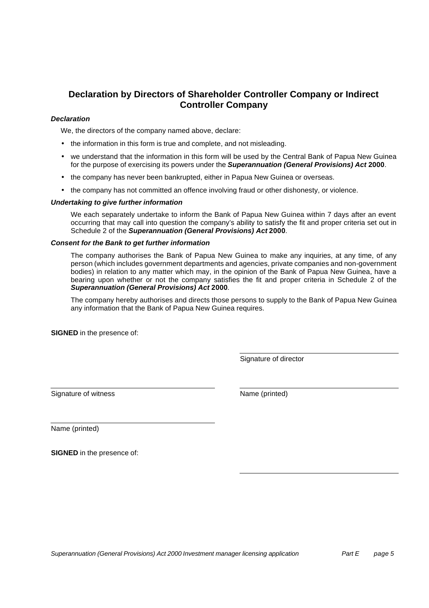# **Declaration by Directors of Shareholder Controller Company or Indirect Controller Company**

#### *Declaration*

We, the directors of the company named above, declare:

- the information in this form is true and complete, and not misleading.
- we understand that the information in this form will be used by the Central Bank of Papua New Guinea for the purpose of exercising its powers under the *Superannuation (General Provisions) Act* **2000**.
- the company has never been bankrupted, either in Papua New Guinea or overseas.
- the company has not committed an offence involving fraud or other dishonesty, or violence.

#### *Undertaking to give further information*

We each separately undertake to inform the Bank of Papua New Guinea within 7 days after an event occurring that may call into question the company's ability to satisfy the fit and proper criteria set out in Schedule 2 of the *Superannuation (General Provisions) Act* **2000**.

#### *Consent for the Bank to get further information*

The company authorises the Bank of Papua New Guinea to make any inquiries, at any time, of any person (which includes government departments and agencies, private companies and non-government bodies) in relation to any matter which may, in the opinion of the Bank of Papua New Guinea, have a bearing upon whether or not the company satisfies the fit and proper criteria in Schedule 2 of the *Superannuation (General Provisions) Act* **2000**.

The company hereby authorises and directs those persons to supply to the Bank of Papua New Guinea any information that the Bank of Papua New Guinea requires.

**SIGNED** in the presence of:

Signature of director

Signature of witness Name (printed)

Name (printed)

**SIGNED** in the presence of: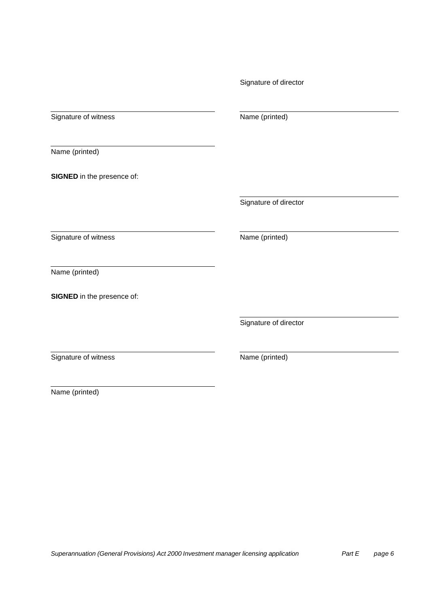Signature of witness Name (printed)

Name (printed)

**SIGNED** in the presence of:

Signature of director

Signature of witness Name (printed)

Name (printed)

**SIGNED** in the presence of:

Signature of director

Signature of witness Name (printed)

Name (printed)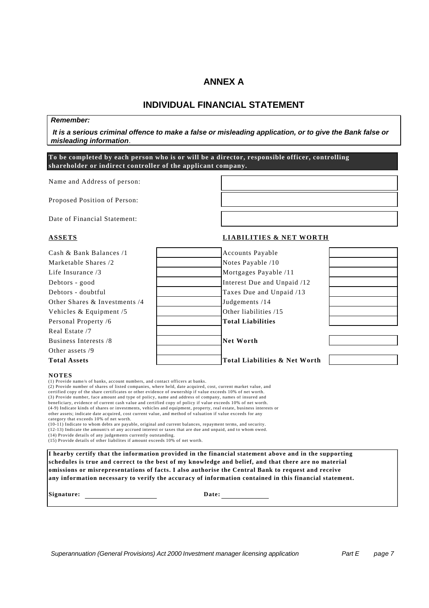## **ANNEX A**

## **INDIVIDUAL FINANCIAL STATEMENT**

#### *Remember:*

 *It is a serious criminal offence to make a false or misleading application, or to give the Bank false or misleading information*.

**To be completed by each person who is or will be a director, responsible officer, controlling shareholder or indirect controller of the applicant company.**

Name and Address of person:

Proposed Position of Person:

Date of Financial Statement:

#### **ASSETS LIABILITIES & NET WORTH**

## Cash & Bank Balances /1 Accounts Payable Marketable Shares /2 Notes Payable /10 Life Insurance /3 Mortgages Payable /11 Debtors - good Interest Due and Unpaid /12 Debtors - doubtful Taxes Due and Unpaid /13 Other Shares & Investments /4 Judgements /14 Vehicles & Equipment /5  $\qquad$  Other liabilities /15 Personal Property /6 **Total Liabilities** Real Estate /7 Business Interests /8 **Net Worth** Other assets /9 **Total Assets Total Liabilities & Net Worth**

#### **NOTES**

(1) Provide name/s of banks, account numbers, and contact officers at banks.

(2) Provide number of shares of listed companies, where held, date acquired, cost, current market value, and certified copy of the share certificates or other evidence of ownership if value exceeds 10% of net worth. (3) Provide number, face amount and type of policy, name and address of company, names of insured and beneficiary, evidence of current cash value and certified copy of policy if value exceeds 10% of net worth. (4-9) Indicate kinds of shares or investments, vehicles and equipment, property, real estate, business interests or other assets; indicate date acquired, cost current value, and method of valuation if value exceeds for any

category that exceeds 10% of net worth.

(10-11) Indicate to whom debts are payable, original and current balances, repayment terms, and security.

(12-13) Indicate the amount/s of any accrued interest or taxes that are due and unpaid, and to whom owed.

(14) Provide details of any judgements currently outstanding. (15) Provide details of other liabilites if amount exceeds 10% of net worth.

**I hearby certify that the information provided in the financial statement above and in the supporting schedules is true and correct to the best of my knowledge and belief, and that there are no material omissions or misrepresentations of facts. I also authorise the Central Bank to request and receive any information necessary to verify the accuracy of information contained in this financial statement.**

**Signature: Date:**

*Superannuation (General Provisions) Act 2000 Investment manager licensing application Part E page 7*